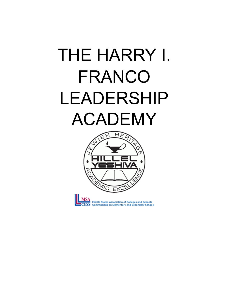## THE HARRY I. FRANCO LEADERSHIP ACADEMY





Middle States Association of Colleges and Schools **Commissions on Elementary and Secondary Schools**